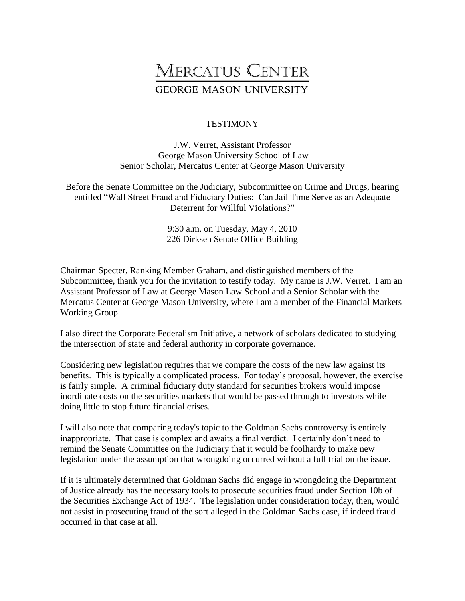## **MERCATUS CENTER GEORGE MASON UNIVERSITY**

## **TESTIMONY**

J.W. Verret, Assistant Professor George Mason University School of Law Senior Scholar, Mercatus Center at George Mason University

Before the Senate Committee on the Judiciary, Subcommittee on Crime and Drugs, hearing entitled "Wall Street Fraud and Fiduciary Duties: Can Jail Time Serve as an Adequate Deterrent for Willful Violations?"

> 9:30 a.m. on Tuesday, May 4, 2010 226 Dirksen Senate Office Building

Chairman Specter, Ranking Member Graham, and distinguished members of the Subcommittee, thank you for the invitation to testify today. My name is J.W. Verret. I am an Assistant Professor of Law at George Mason Law School and a Senior Scholar with the Mercatus Center at George Mason University, where I am a member of the Financial Markets Working Group.

I also direct the Corporate Federalism Initiative, a network of scholars dedicated to studying the intersection of state and federal authority in corporate governance.

Considering new legislation requires that we compare the costs of the new law against its benefits. This is typically a complicated process. For today's proposal, however, the exercise is fairly simple. A criminal fiduciary duty standard for securities brokers would impose inordinate costs on the securities markets that would be passed through to investors while doing little to stop future financial crises.

I will also note that comparing today's topic to the Goldman Sachs controversy is entirely inappropriate. That case is complex and awaits a final verdict. I certainly don't need to remind the Senate Committee on the Judiciary that it would be foolhardy to make new legislation under the assumption that wrongdoing occurred without a full trial on the issue.

If it is ultimately determined that Goldman Sachs did engage in wrongdoing the Department of Justice already has the necessary tools to prosecute securities fraud under Section 10b of the Securities Exchange Act of 1934. The legislation under consideration today, then, would not assist in prosecuting fraud of the sort alleged in the Goldman Sachs case, if indeed fraud occurred in that case at all.